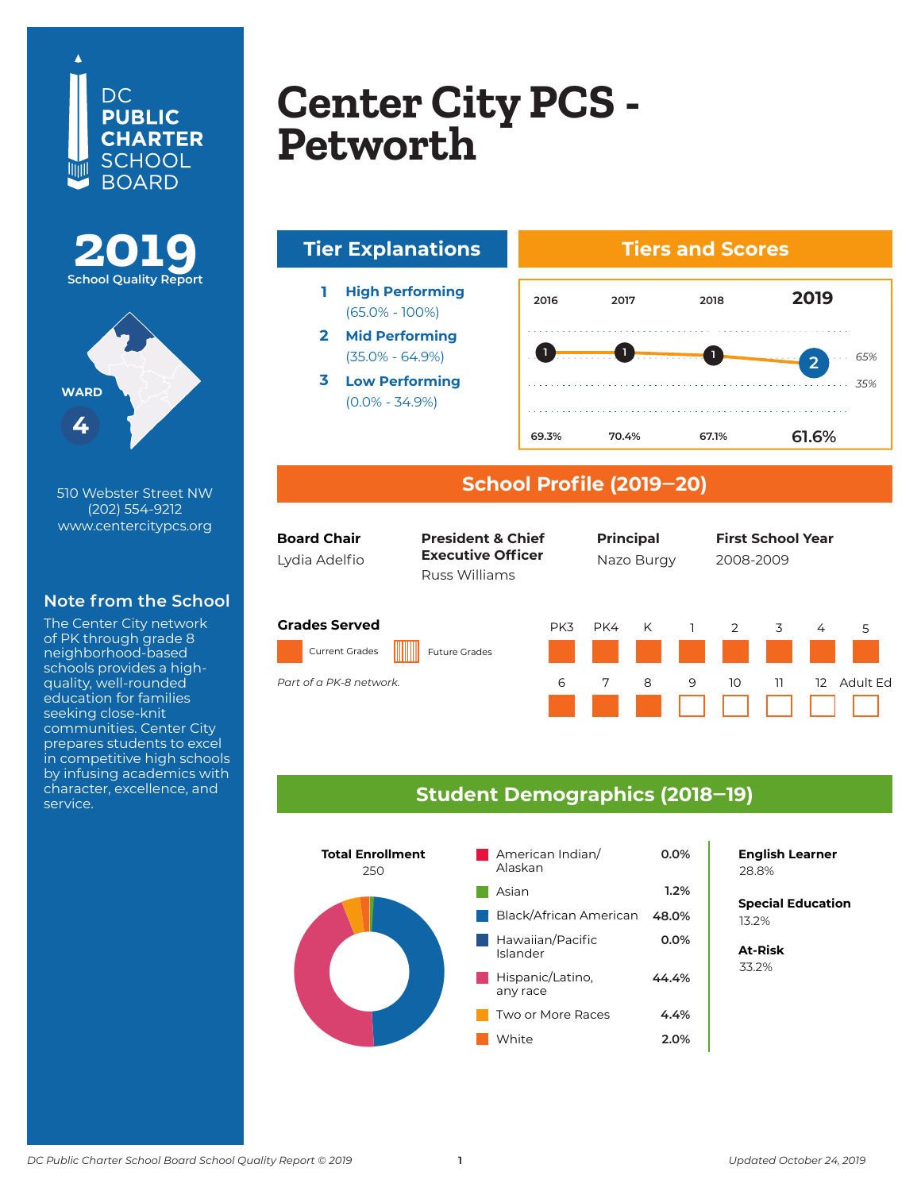





510 Webster Street NW (202) 554-9212 www.centercitypcs.org

### **Note from the School**

The Center City network of PK through grade 8 neighborhood-based schools provides a highquality, well-rounded education for families seeking close-knit communities. Center City prepares students to excel in competitive high schools by infusing academics with character, excellence, and service.

## **Copton City DCS Center City PCS<br>Petworth Columbia Heights Center City PCS - Petworth**





#### **School Profile (2019‒20)**

| <b>Board Chair</b><br>Lydia Adelfio                                      | <b>President &amp; Chief</b><br><b>Executive Officer</b><br>Russ Williams |          | <b>Principal</b><br>Nazo Burgy |        |        | <b>First School Year</b><br>2008-2009 |          |                   |               |  |
|--------------------------------------------------------------------------|---------------------------------------------------------------------------|----------|--------------------------------|--------|--------|---------------------------------------|----------|-------------------|---------------|--|
| <b>Grades Served</b><br><b>Current Grades</b><br>Part of a PK-8 network. | <b>Future Grades</b>                                                      | PK3<br>6 | PK4<br>7                       | K<br>8 | ı<br>9 | 2<br>10                               | 3<br>11. | 4<br>$12^{\circ}$ | 5<br>Adult Fd |  |
|                                                                          |                                                                           |          |                                |        |        |                                       |          |                   |               |  |

#### **Student Demographics (2018‒19)**



**English Learner**

**Special Education** 6.2% 13.2%

**At-Risk** 37.0% 33.2%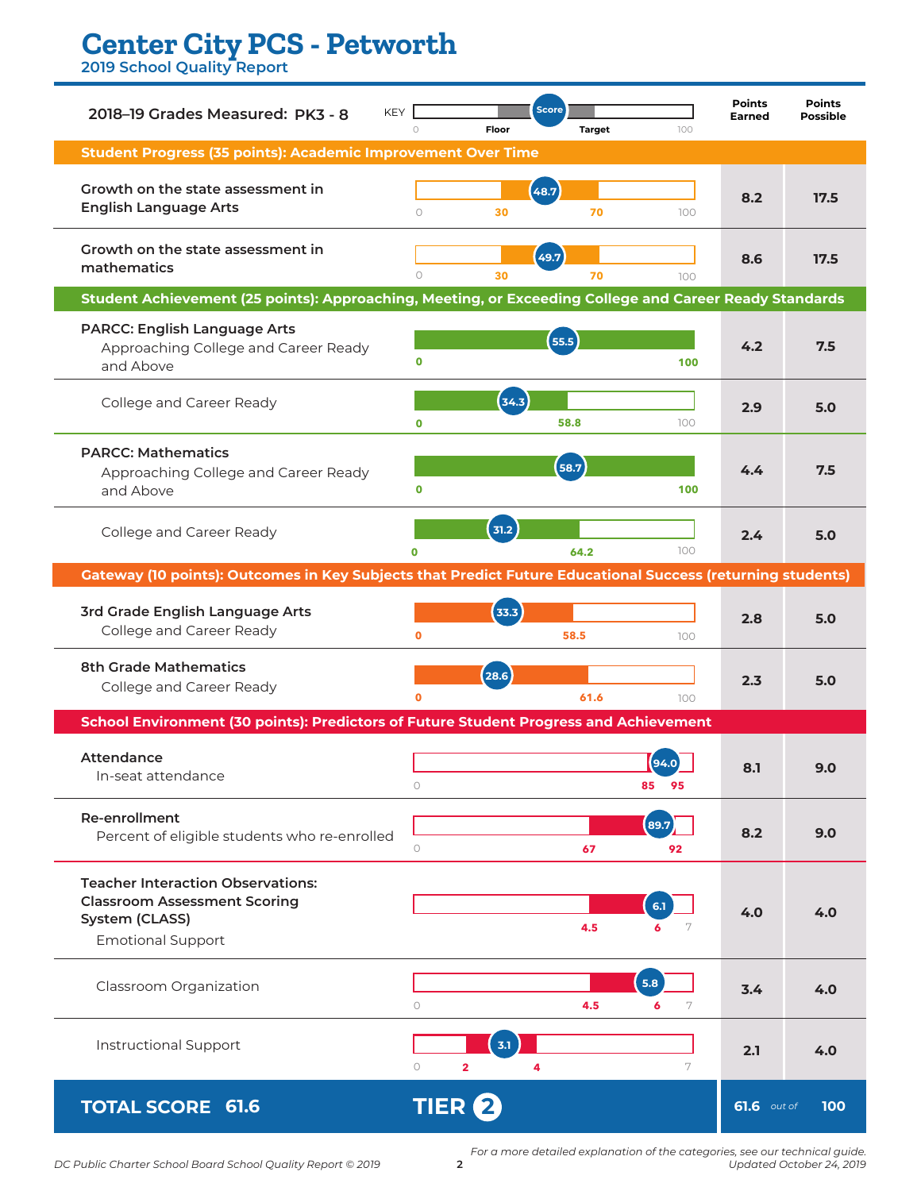# **Center City PCS - Petworth**

**2019 School Quality Report**

| <b>KEY</b><br>2018-19 Grades Measured: PK3 - 8                                                                                | $\circ$                 | Floor  | <b>Score</b> | <b>Target</b> |            | 100 | <b>Points</b><br><b>Earned</b> | <b>Points</b><br><b>Possible</b> |  |
|-------------------------------------------------------------------------------------------------------------------------------|-------------------------|--------|--------------|---------------|------------|-----|--------------------------------|----------------------------------|--|
| <b>Student Progress (35 points): Academic Improvement Over Time</b>                                                           |                         |        |              |               |            |     |                                |                                  |  |
| Growth on the state assessment in<br><b>English Language Arts</b>                                                             | $\circ$                 | 30     | (48.7)       | 70            |            | 100 | 8.2                            | 17.5                             |  |
| Growth on the state assessment in<br>mathematics                                                                              | $\circ$                 | 30     | (49.7)       | 70            |            | 100 | 8.6                            | 17.5                             |  |
| Student Achievement (25 points): Approaching, Meeting, or Exceeding College and Career Ready Standards                        |                         |        |              |               |            |     |                                |                                  |  |
| <b>PARCC: English Language Arts</b><br>Approaching College and Career Ready<br>and Above                                      | 0                       |        | 55.5         |               |            | 100 | 4.2                            | 7.5                              |  |
| College and Career Ready                                                                                                      | $\mathbf 0$             | (34.3) | 58.8         |               |            | 100 | 2.9                            | 5.0                              |  |
| <b>PARCC: Mathematics</b><br>Approaching College and Career Ready<br>and Above                                                | $\mathbf 0$             |        | 58.7         |               |            | 100 | 4.4                            | 7.5                              |  |
| College and Career Ready                                                                                                      | $\Omega$                | 31.2   |              | 64.2          |            | 100 | 2.4                            | 5.0                              |  |
| <b>Gateway (10 points): Outcomes in Key Subjects that Predict Future Educational Success (returning students)</b>             |                         |        |              |               |            |     |                                |                                  |  |
| 3rd Grade English Language Arts<br>College and Career Ready                                                                   | $\mathbf{o}$            | 33.3   |              | 58.5          |            | 100 | 2.8                            | 5.0                              |  |
| <b>8th Grade Mathematics</b><br>College and Career Ready                                                                      | $\mathbf o$             | 28.6   |              | 61.6          |            | 100 | 2.3                            | 5.0                              |  |
| School Environment (30 points): Predictors of Future Student Progress and Achievement                                         |                         |        |              |               |            |     |                                |                                  |  |
| Attendance<br>In-seat attendance                                                                                              | $\circ$                 |        |              |               | 85<br>95   |     | 8.1                            | 9.0                              |  |
| <b>Re-enrollment</b><br>Percent of eligible students who re-enrolled                                                          | $\circ$                 |        |              | 67            | 89.7<br>92 |     | 8.2                            | 9.0                              |  |
| <b>Teacher Interaction Observations:</b><br><b>Classroom Assessment Scoring</b><br>System (CLASS)<br><b>Emotional Support</b> |                         |        |              | 4.5           | 6.1<br>6   | 7   | 4.0                            | 4.0                              |  |
| Classroom Organization                                                                                                        | $\circ$                 |        |              | 4.5           | 5.8<br>6   | 7   | 3.4                            | 4.0                              |  |
| <b>Instructional Support</b>                                                                                                  | $\circ$<br>$\mathbf{2}$ | 3.1    | 4            |               |            | 7   | 2.1                            | 4.0                              |  |
| <b>TOTAL SCORE 61.6</b>                                                                                                       | <b>TIER 2</b>           |        |              |               |            |     | <b>61.6</b> out of             | 100                              |  |